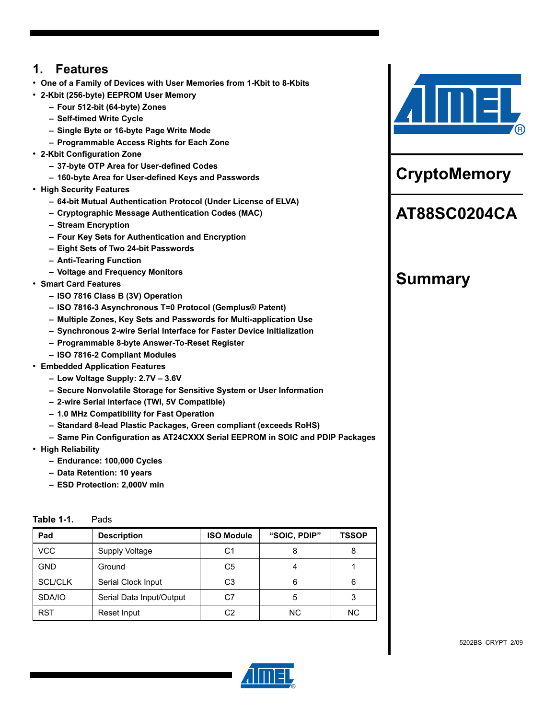# **1. Features**

- **One of a Family of Devices with User Memories from 1-Kbit to 8-Kbits**
- **2-Kbit (256-byte) EEPROM User Memory**
	- **Four 512-bit (64-byte) Zones**
	- **Self-timed Write Cycle**
	- **Single Byte or 16-byte Page Write Mode**
	- **Programmable Access Rights for Each Zone**
- **2-Kbit Configuration Zone**
	- **37-byte OTP Area for User-defined Codes**
	- **160-byte Area for User-defined Keys and Passwords**
- **High Security Features**
	- **64-bit Mutual Authentication Protocol (Under License of ELVA)**
	- **Cryptographic Message Authentication Codes (MAC)**
	- **Stream Encryption**
	- **Four Key Sets for Authentication and Encryption**
	- **Eight Sets of Two 24-bit Passwords**
	- **Anti-Tearing Function**
	- **Voltage and Frequency Monitors**
- **Smart Card Features**
	- **ISO 7816 Class B (3V) Operation**
	- **ISO 7816-3 Asynchronous T=0 Protocol (Gemplus® Patent)**
	- **Multiple Zones, Key Sets and Passwords for Multi-application Use**
	- **Synchronous 2-wire Serial Interface for Faster Device Initialization**
	- **Programmable 8-byte Answer-To-Reset Register**
	- **ISO 7816-2 Compliant Modules**
- **Embedded Application Features**
	- **Low Voltage Supply: 2.7V 3.6V**
	- **Secure Nonvolatile Storage for Sensitive System or User Information**
	- **2-wire Serial Interface (TWI, 5V Compatible)**
	- **1.0 MHz Compatibility for Fast Operation**
	- **Standard 8-lead Plastic Packages, Green compliant (exceeds RoHS)**
	- **Same Pin Configuration as AT24CXXX Serial EEPROM in SOIC and PDIP Packages**
- **High Reliability**
	- **Endurance: 100,000 Cycles**
	- **Data Retention: 10 years**
	- **ESD Protection: 2,000V min**

| Pad            | <b>Description</b>       | <b>ISO Module</b> | "SOIC, PDIP" | <b>TSSOP</b> |
|----------------|--------------------------|-------------------|--------------|--------------|
| <b>VCC</b>     | Supply Voltage           | C1                |              | 8            |
| <b>GND</b>     | Ground                   | C5                |              |              |
| <b>SCL/CLK</b> | Serial Clock Input       | CЗ                | 6            | 6            |
| SDA/IO         | Serial Data Input/Output | C7                | 5            | 3            |
| <b>RST</b>     | Reset Input              | C2                | ΝC           | <b>NC</b>    |





**CryptoMemory**

# **AT88SC0204CA**

# **Summary**



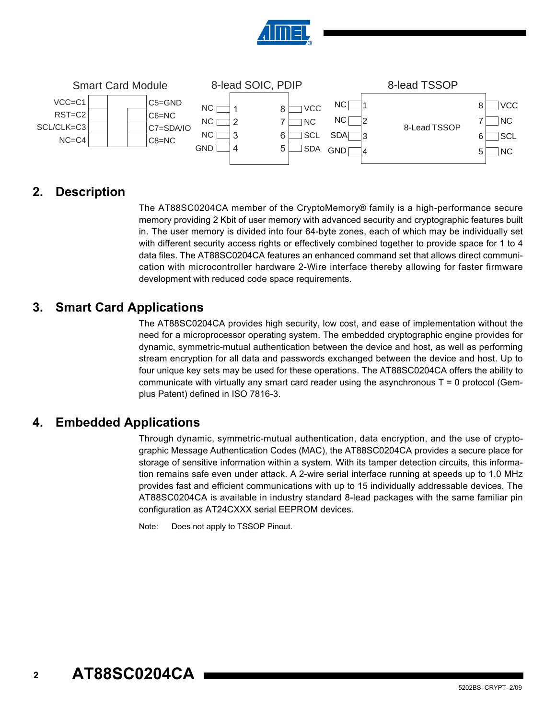



# **2. Description**

The AT88SC0204CA member of the CryptoMemory® family is a high-performance secure memory providing 2 Kbit of user memory with advanced security and cryptographic features built in. The user memory is divided into four 64-byte zones, each of which may be individually set with different security access rights or effectively combined together to provide space for 1 to 4 data files. The AT88SC0204CA features an enhanced command set that allows direct communication with microcontroller hardware 2-Wire interface thereby allowing for faster firmware development with reduced code space requirements.

# **3. Smart Card Applications**

The AT88SC0204CA provides high security, low cost, and ease of implementation without the need for a microprocessor operating system. The embedded cryptographic engine provides for dynamic, symmetric-mutual authentication between the device and host, as well as performing stream encryption for all data and passwords exchanged between the device and host. Up to four unique key sets may be used for these operations. The AT88SC0204CA offers the ability to communicate with virtually any smart card reader using the asynchronous  $T = 0$  protocol (Gemplus Patent) defined in ISO 7816-3.

# **4. Embedded Applications**

Through dynamic, symmetric-mutual authentication, data encryption, and the use of cryptographic Message Authentication Codes (MAC), the AT88SC0204CA provides a secure place for storage of sensitive information within a system. With its tamper detection circuits, this information remains safe even under attack. A 2-wire serial interface running at speeds up to 1.0 MHz provides fast and efficient communications with up to 15 individually addressable devices. The AT88SC0204CA is available in industry standard 8-lead packages with the same familiar pin configuration as AT24CXXX serial EEPROM devices.

Note: Does not apply to TSSOP Pinout.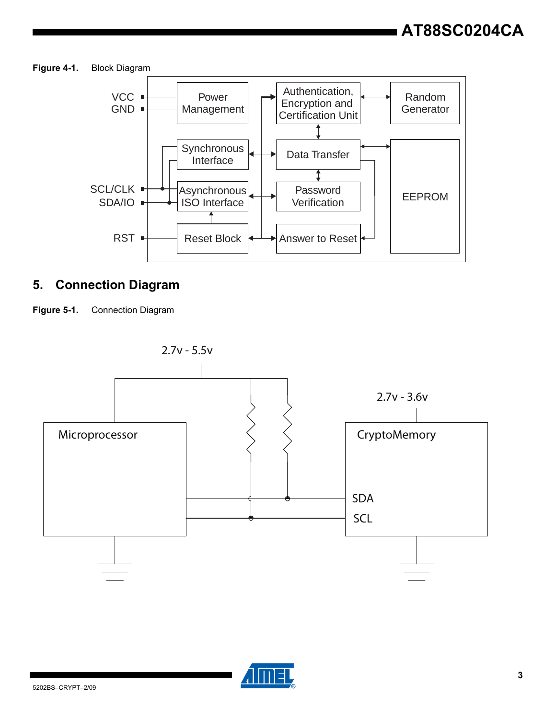**Figure 4-1.** Block Diagram



# **5. Connection Diagram**





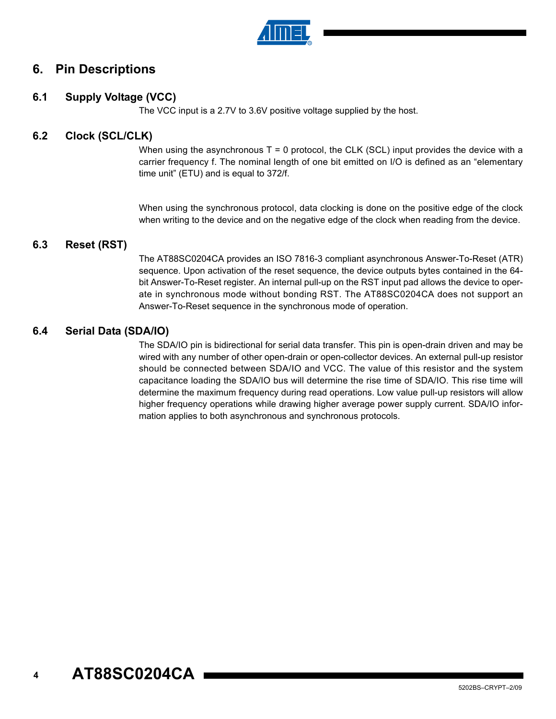

# **6. Pin Descriptions**

## **6.1 Supply Voltage (VCC)**

The VCC input is a 2.7V to 3.6V positive voltage supplied by the host.

### **6.2 Clock (SCL/CLK)**

When using the asynchronous  $T = 0$  protocol, the CLK (SCL) input provides the device with a carrier frequency f. The nominal length of one bit emitted on I/O is defined as an "elementary time unit" (ETU) and is equal to 372/f.

When using the synchronous protocol, data clocking is done on the positive edge of the clock when writing to the device and on the negative edge of the clock when reading from the device.

### **6.3 Reset (RST)**

The AT88SC0204CA provides an ISO 7816-3 compliant asynchronous Answer-To-Reset (ATR) sequence. Upon activation of the reset sequence, the device outputs bytes contained in the 64 bit Answer-To-Reset register. An internal pull-up on the RST input pad allows the device to operate in synchronous mode without bonding RST. The AT88SC0204CA does not support an Answer-To-Reset sequence in the synchronous mode of operation.

# **6.4 Serial Data (SDA/IO)**

The SDA/IO pin is bidirectional for serial data transfer. This pin is open-drain driven and may be wired with any number of other open-drain or open-collector devices. An external pull-up resistor should be connected between SDA/IO and VCC. The value of this resistor and the system capacitance loading the SDA/IO bus will determine the rise time of SDA/IO. This rise time will determine the maximum frequency during read operations. Low value pull-up resistors will allow higher frequency operations while drawing higher average power supply current. SDA/IO information applies to both asynchronous and synchronous protocols.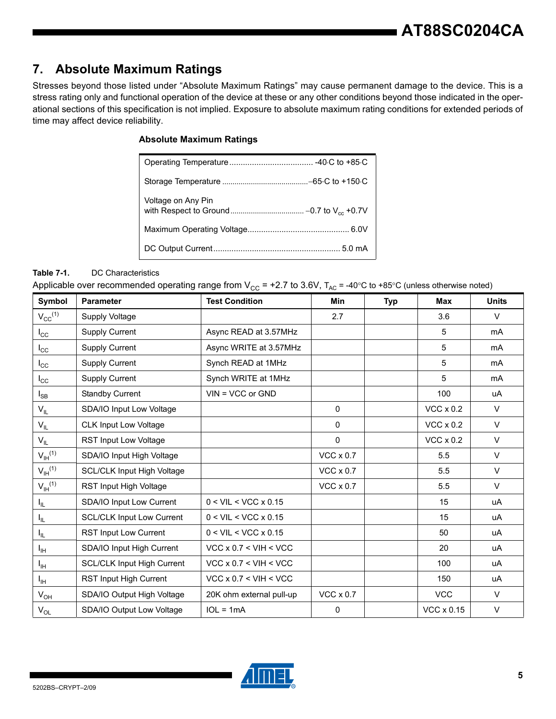# **7. Absolute Maximum Ratings**

Stresses beyond those listed under "Absolute Maximum Ratings" may cause permanent damage to the device. This is a stress rating only and functional operation of the device at these or any other conditions beyond those indicated in the operational sections of this specification is not implied. Exposure to absolute maximum rating conditions for extended periods of time may affect device reliability.

#### **Absolute Maximum Ratings**

| Voltage on Any Pin |
|--------------------|
|                    |
|                    |

#### **Table 7-1.** DC Characteristics

Applicable over recommended operating range from  $V_{CC}$  = +2.7 to 3.6V,  $T_{AC}$  = -40°C to +85°C (unless otherwise noted)

| Symbol                | <b>Parameter</b>                  | <b>Test Condition</b>              | <b>Min</b>       | <b>Typ</b> | <b>Max</b>        | <b>Units</b> |
|-----------------------|-----------------------------------|------------------------------------|------------------|------------|-------------------|--------------|
| $V_{CC}^{(1)}$        | Supply Voltage                    |                                    | 2.7              |            | 3.6               | $\vee$       |
| $I_{\rm CC}$          | <b>Supply Current</b>             | Async READ at 3.57MHz              |                  |            | 5                 | mA           |
| $I_{\rm CC}$          | <b>Supply Current</b>             | Async WRITE at 3.57MHz             |                  |            | 5                 | mA           |
| $I_{\rm CC}$          | <b>Supply Current</b>             | Synch READ at 1MHz                 |                  |            | 5                 | mA           |
| $I_{\rm CC}$          | <b>Supply Current</b>             | Synch WRITE at 1MHz                |                  |            | 5                 | mA           |
| $I_{SB}$              | <b>Standby Current</b>            | $VIN = VCC$ or $GND$               |                  |            | 100               | uA           |
| $V_{IL}$              | SDA/IO Input Low Voltage          |                                    | 0                |            | $VCC \times 0.2$  | $\vee$       |
| $V_{IL}$              | <b>CLK Input Low Voltage</b>      |                                    | $\mathbf{0}$     |            | $VCC \times 0.2$  | $\vee$       |
| $V_{IL}$              | RST Input Low Voltage             |                                    | $\pmb{0}$        |            | $VCC \times 0.2$  | $\vee$       |
| $V_{\text{IH}}^{(1)}$ | SDA/IO Input High Voltage         |                                    | $VCC \times 0.7$ |            | 5.5               | $\vee$       |
| $V_{\text{IH}}^{(1)}$ | <b>SCL/CLK Input High Voltage</b> |                                    | $VCC \times 0.7$ |            | 5.5               | $\vee$       |
| $V_{\text{IH}}^{(1)}$ | RST Input High Voltage            |                                    | $VCC \times 0.7$ |            | 5.5               | $\vee$       |
| $I_{IL}$              | SDA/IO Input Low Current          | $0 < VIL < VCC \times 0.15$        |                  |            | 15                | uA           |
| $I_{IL}$              | <b>SCL/CLK Input Low Current</b>  | $0 < VIL < VCC \times 0.15$        |                  |            | 15                | uA           |
| I <sub>IL</sub>       | RST Input Low Current             | $0 < VIL < VCC \times 0.15$        |                  |            | 50                | uA           |
| $I_{\text{IH}}$       | SDA/IO Input High Current         | $VCC \times 0.7 \leq VIH \leq VCC$ |                  |            | 20                | uA           |
| Iн                    | <b>SCL/CLK Input High Current</b> | $VCC \times 0.7 < VIH < VCC$       |                  |            | 100               | uA           |
| Iн                    | RST Input High Current            | $VCC \times 0.7 < VIH < VCC$       |                  |            | 150               | uA           |
| $V_{OH}$              | SDA/IO Output High Voltage        | 20K ohm external pull-up           | $VCC \times 0.7$ |            | <b>VCC</b>        | $\vee$       |
| $V_{OL}$              | SDA/IO Output Low Voltage         | $IOL = 1mA$                        | $\mathbf 0$      |            | $VCC \times 0.15$ | $\vee$       |

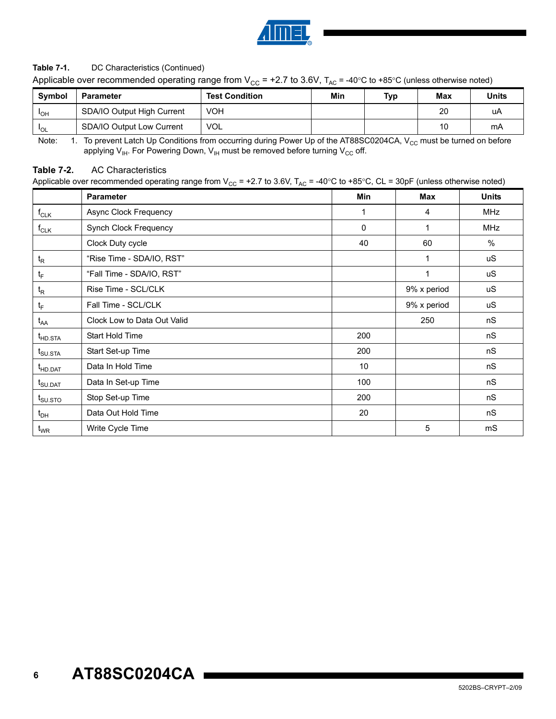

#### Table 7-1. DC Characteristics (Continued)

Applicable over recommended operating range from V<sub>CC</sub> = +2.7 to 3.6V,  $T_{AC}$  = -40°C to +85°C (unless otherwise noted)

| <b>Symbol</b> | <b>Parameter</b>           | <b>Test Condition</b> | Min | Typ | Max | <b>Units</b> |
|---------------|----------------------------|-----------------------|-----|-----|-----|--------------|
| <b>IOH</b>    | SDA/IO Output High Current | VOH                   |     |     | 20  | uA           |
| <b>IOL</b>    | SDA/IO Output Low Current  | <b>VOL</b>            |     |     | 10  | mA           |

Note: 1. To prevent Latch Up Conditions from occurring during Power Up of the AT88SC0204CA, V<sub>CC</sub> must be turned on before applying  $V_{H}$ . For Powering Down,  $V_{H}$  must be removed before turning  $V_{CC}$  off.

#### **Table 7-2.** AC Characteristics

Applicable over recommended operating range from V<sub>CC</sub> = +2.7 to 3.6V, T<sub>AC</sub> = -40°C to +85°C, CL = 30pF (unless otherwise noted)

|                                  | <b>Parameter</b>            | Min         | <b>Max</b>   | <b>Units</b> |
|----------------------------------|-----------------------------|-------------|--------------|--------------|
| $f_{CLK}$                        | Async Clock Frequency       | 1           | 4            | MHz          |
| $f_{CLK}$                        | Synch Clock Frequency       | $\mathbf 0$ | 1            | MHz          |
|                                  | Clock Duty cycle            | 40          | 60           | $\%$         |
| $t_{R}$                          | "Rise Time - SDA/IO, RST"   |             | $\mathbf{1}$ | <b>uS</b>    |
| $t_F$                            | "Fall Time - SDA/IO, RST"   |             | $\mathbf{1}$ | <b>uS</b>    |
| $t_{\mathsf{R}}$                 | Rise Time - SCL/CLK         |             | 9% x period  | uS           |
| $t_{\scriptscriptstyle \sf F}$   | Fall Time - SCL/CLK         |             | 9% x period  | uS           |
| $t_{AA}$                         | Clock Low to Data Out Valid |             | 250          | nS           |
| t <sub>HD.STA</sub>              | Start Hold Time             | 200         |              | nS           |
| $t_{\text{SU,STA}}$              | Start Set-up Time           | 200         |              | nS           |
| t <sub>HD.DAT</sub>              | Data In Hold Time           | 10          |              | nS           |
| $t_{\scriptstyle\text{S}}$ U.DAT | Data In Set-up Time         | 100         |              | nS           |
| $t_{\text{SU,STO}}$              | Stop Set-up Time            | 200         |              | nS           |
| $t_{\sf DH}$                     | Data Out Hold Time          | 20          |              | nS           |
| $\mathfrak{t}_{\text{WR}}$       | Write Cycle Time            |             | 5            | mS           |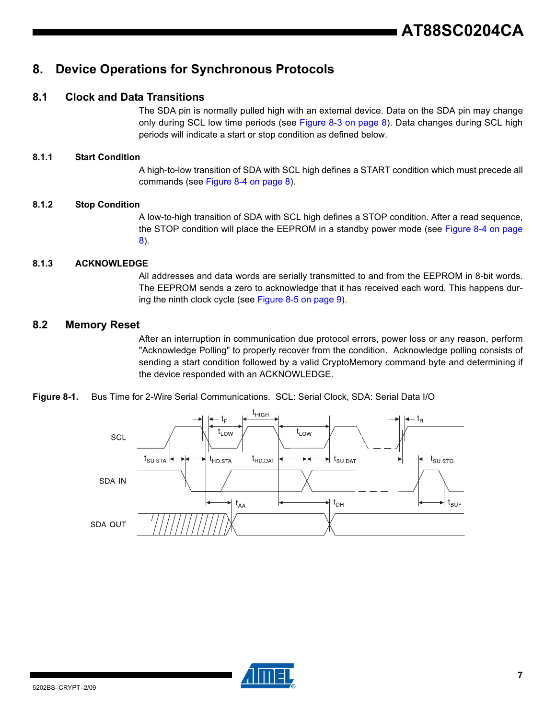# **8. Device Operations for Synchronous Protocols**

### **8.1 Clock and Data Transitions**

The SDA pin is normally pulled high with an external device. Data on the SDA pin may change only during SCL low time periods (see [Figure 8-3 on page 8](#page-7-0)). Data changes during SCL high periods will indicate a start or stop condition as defined below.

#### **8.1.1 Start Condition**

A high-to-low transition of SDA with SCL high defines a START condition which must precede all commands (see [Figure 8-4 on page 8\)](#page-7-1).

#### **8.1.2 Stop Condition**

A low-to-high transition of SDA with SCL high defines a STOP condition. After a read sequence, the STOP condition will place the EEPROM in a standby power mode (see [Figure 8-4 on page](#page-7-1) [8\)](#page-7-1).

#### **8.1.3 ACKNOWLEDGE**

All addresses and data words are serially transmitted to and from the EEPROM in 8-bit words. The EEPROM sends a zero to acknowledge that it has received each word. This happens during the ninth clock cycle (see [Figure 8-5 on page 9](#page-8-0)).

#### **8.2 Memory Reset**

After an interruption in communication due protocol errors, power loss or any reason, perform "Acknowledge Polling" to properly recover from the condition. Acknowledge polling consists of sending a start condition followed by a valid CryptoMemory command byte and determining if the device responded with an ACKNOWLEDGE.





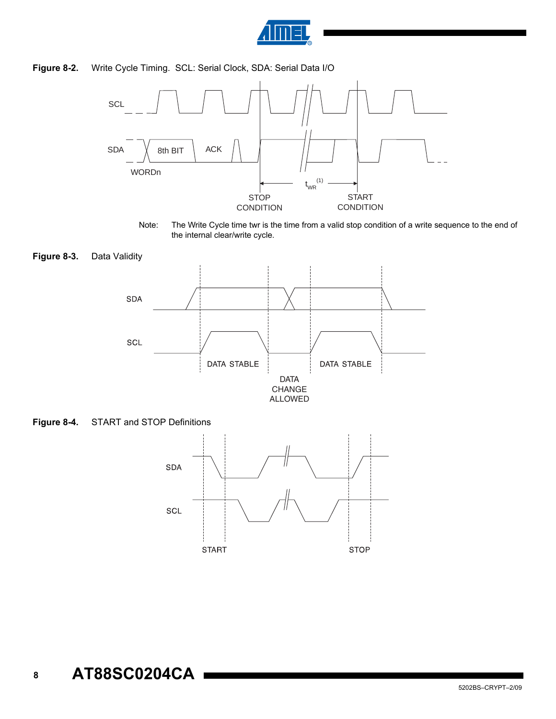

#### **Figure 8-2.** Write Cycle Timing. SCL: Serial Clock, SDA: Serial Data I/O



Note: The Write Cycle time twr is the time from a valid stop condition of a write sequence to the end of the internal clear/write cycle.

<span id="page-7-0"></span>



<span id="page-7-1"></span>

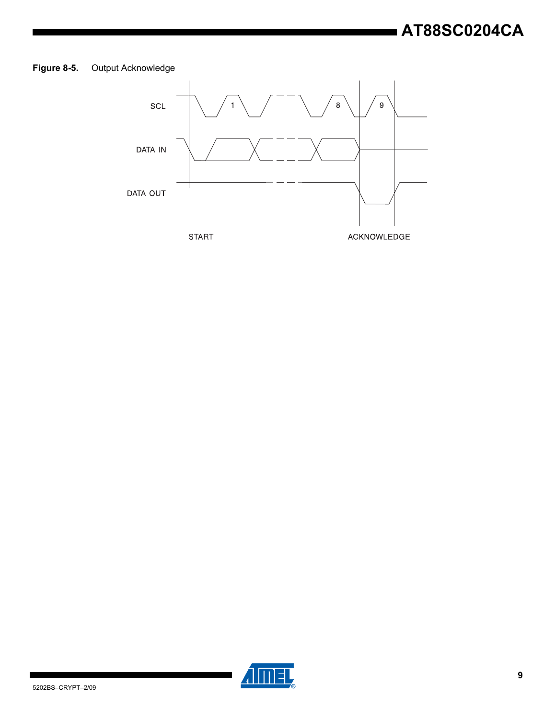# <span id="page-8-0"></span>**Figure 8-5.** Output Acknowledge



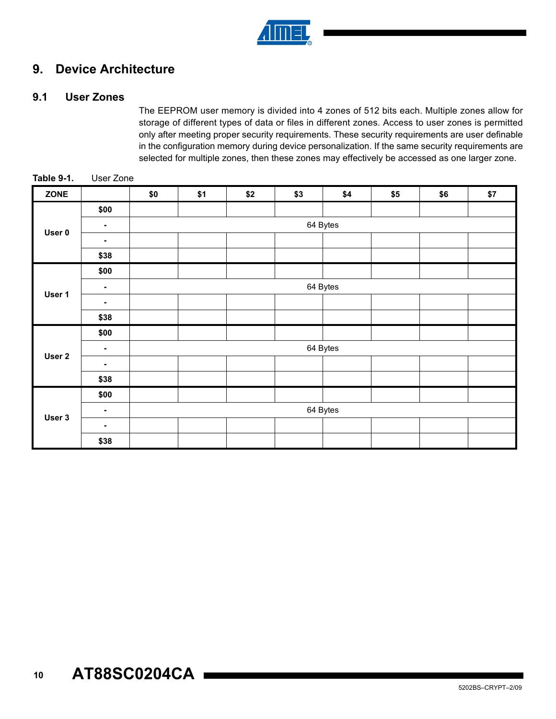

# **9. Device Architecture**

### **9.1 User Zones**

The EEPROM user memory is divided into 4 zones of 512 bits each. Multiple zones allow for storage of different types of data or files in different zones. Access to user zones is permitted only after meeting proper security requirements. These security requirements are user definable in the configuration memory during device personalization. If the same security requirements are selected for multiple zones, then these zones may effectively be accessed as one larger zone.

| ZONE   |      | \$0      | \$1 | \$2 | \$3 | \$4      | \$5 | \$6 | \$7 |  |
|--------|------|----------|-----|-----|-----|----------|-----|-----|-----|--|
|        | \$00 |          |     |     |     |          |     |     |     |  |
|        | ٠    |          |     |     |     | 64 Bytes |     |     |     |  |
| User 0 | ٠    |          |     |     |     |          |     |     |     |  |
|        | \$38 |          |     |     |     |          |     |     |     |  |
|        | \$00 |          |     |     |     |          |     |     |     |  |
| User 1 | ٠    | 64 Bytes |     |     |     |          |     |     |     |  |
|        | ۰    |          |     |     |     |          |     |     |     |  |
|        | \$38 |          |     |     |     |          |     |     |     |  |
|        | \$00 |          |     |     |     |          |     |     |     |  |
| User 2 | ۰    | 64 Bytes |     |     |     |          |     |     |     |  |
|        | ٠    |          |     |     |     |          |     |     |     |  |
|        | \$38 |          |     |     |     |          |     |     |     |  |
|        | \$00 |          |     |     |     |          |     |     |     |  |
|        | ۰    | 64 Bytes |     |     |     |          |     |     |     |  |
| User 3 | ٠    |          |     |     |     |          |     |     |     |  |
|        | \$38 |          |     |     |     |          |     |     |     |  |

**Table 9-1.** User Zone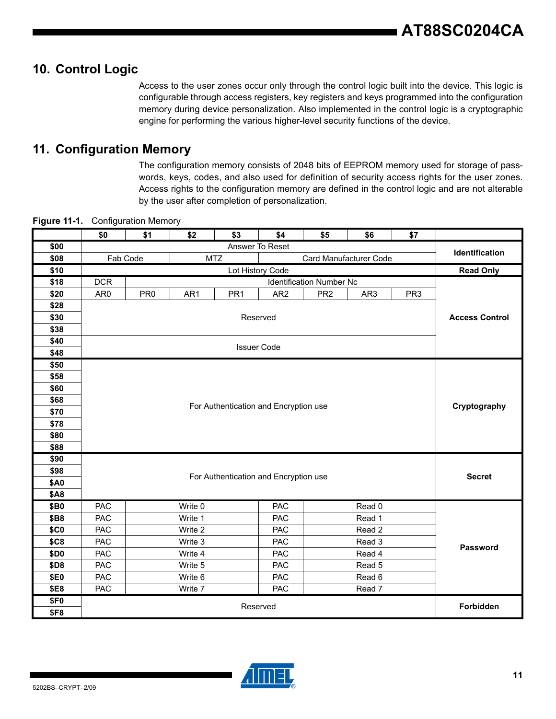# **10. Control Logic**

Access to the user zones occur only through the control logic built into the device. This logic is configurable through access registers, key registers and keys programmed into the configuration memory during device personalization. Also implemented in the control logic is a cryptographic engine for performing the various higher-level security functions of the device.

# **11. Configuration Memory**

The configuration memory consists of 2048 bits of EEPROM memory used for storage of passwords, keys, codes, and also used for definition of security access rights for the user zones. Access rights to the configuration memory are defined in the control logic and are not alterable by the user after completion of personalization.

|             | \$0        | \$1                      | \$2     | \$3             | \$4                                   | \$5                             | \$6    | \$7             |                       |
|-------------|------------|--------------------------|---------|-----------------|---------------------------------------|---------------------------------|--------|-----------------|-----------------------|
| \$00        |            |                          |         |                 | Answer To Reset                       |                                 |        |                 | Identification        |
| \$08        |            | Fab Code                 |         | <b>MTZ</b>      |                                       | Card Manufacturer Code          |        |                 |                       |
| \$10        |            |                          |         |                 | Lot History Code                      |                                 |        |                 | <b>Read Only</b>      |
| \$18        | <b>DCR</b> |                          |         |                 |                                       | <b>Identification Number Nc</b> |        |                 |                       |
| \$20        | AR0        | PR <sub>0</sub>          | AR1     | PR <sub>1</sub> | AR <sub>2</sub>                       | PR <sub>2</sub>                 | AR3    | PR <sub>3</sub> |                       |
| \$28        |            |                          |         |                 |                                       |                                 |        |                 |                       |
| \$30        |            |                          |         |                 | Reserved                              |                                 |        |                 | <b>Access Control</b> |
| \$38        |            |                          |         |                 |                                       |                                 |        |                 |                       |
| \$40        |            |                          |         |                 | <b>Issuer Code</b>                    |                                 |        |                 |                       |
| \$48        |            |                          |         |                 |                                       |                                 |        |                 |                       |
| \$50        |            |                          |         |                 |                                       |                                 |        |                 |                       |
| \$58        |            |                          |         |                 |                                       |                                 |        |                 |                       |
| \$60        |            |                          |         |                 |                                       |                                 |        |                 |                       |
| \$68        |            |                          |         |                 | For Authentication and Encryption use |                                 |        |                 | Cryptography          |
| \$70        |            |                          |         |                 |                                       |                                 |        |                 |                       |
| \$78        |            |                          |         |                 |                                       |                                 |        |                 |                       |
| \$80        |            |                          |         |                 |                                       |                                 |        |                 |                       |
| \$88        |            |                          |         |                 |                                       |                                 |        |                 |                       |
| \$90        |            |                          |         |                 |                                       |                                 |        |                 |                       |
| \$98        |            |                          |         |                 | For Authentication and Encryption use |                                 |        |                 | <b>Secret</b>         |
| <b>\$A0</b> |            |                          |         |                 |                                       |                                 |        |                 |                       |
| <b>\$A8</b> |            |                          |         |                 |                                       |                                 |        |                 |                       |
| \$B0        | PAC        |                          | Write 0 |                 | <b>PAC</b>                            |                                 | Read 0 |                 |                       |
| \$B8        | PAC        |                          | Write 1 |                 | PAC                                   |                                 | Read 1 |                 |                       |
| <b>\$C0</b> | PAC        |                          | Write 2 |                 | PAC                                   |                                 | Read 2 |                 |                       |
| \$C8        | PAC        |                          | Write 3 |                 | PAC                                   |                                 | Read 3 |                 | Password              |
| \$D0        | PAC        |                          | Write 4 |                 | PAC                                   |                                 | Read 4 |                 |                       |
| \$D8        | PAC        |                          | Write 5 |                 | PAC                                   |                                 | Read 5 |                 |                       |
| \$E0        | PAC        | Write 6<br>PAC<br>Read 6 |         |                 |                                       |                                 |        |                 |                       |
| \$E8        | PAC        |                          | Write 7 |                 | PAC                                   |                                 | Read 7 |                 |                       |
| \$F0        |            |                          |         |                 | Reserved                              |                                 |        |                 | Forbidden             |
| <b>\$F8</b> |            |                          |         |                 |                                       |                                 |        |                 |                       |

**Figure 11-1.** Configuration Memory

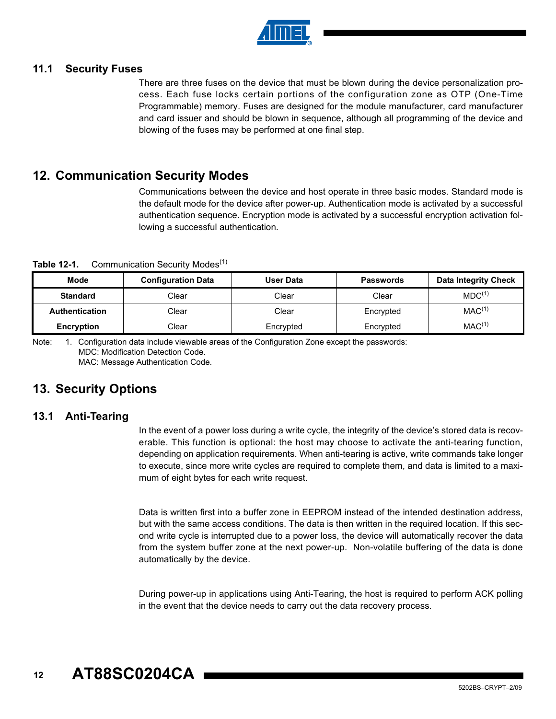

#### **11.1 Security Fuses**

There are three fuses on the device that must be blown during the device personalization process. Each fuse locks certain portions of the configuration zone as OTP (One-Time Programmable) memory. Fuses are designed for the module manufacturer, card manufacturer and card issuer and should be blown in sequence, although all programming of the device and blowing of the fuses may be performed at one final step.

# **12. Communication Security Modes**

Communications between the device and host operate in three basic modes. Standard mode is the default mode for the device after power-up. Authentication mode is activated by a successful authentication sequence. Encryption mode is activated by a successful encryption activation following a successful authentication.

**Table 12-1.** Communication Security Modes<sup>(1)</sup>

| <b>Mode</b>           | <b>Configuration Data</b> | User Data | <b>Passwords</b> | <b>Data Integrity Check</b> |
|-----------------------|---------------------------|-----------|------------------|-----------------------------|
| <b>Standard</b>       | Clear                     | Clear     | Clear            | MDC <sup>(1)</sup>          |
| <b>Authentication</b> | Clear                     | Clear     | Encrypted        | MAC <sup>(1)</sup>          |
| <b>Encryption</b>     | Clear                     | Encrypted | Encrypted        | MAC <sup>(1)</sup>          |

Note: 1. Configuration data include viewable areas of the Configuration Zone except the passwords: MDC: Modification Detection Code. MAC: Message Authentication Code.

# **13. Security Options**

#### **13.1 Anti-Tearing**

In the event of a power loss during a write cycle, the integrity of the device's stored data is recoverable. This function is optional: the host may choose to activate the anti-tearing function, depending on application requirements. When anti-tearing is active, write commands take longer to execute, since more write cycles are required to complete them, and data is limited to a maximum of eight bytes for each write request.

Data is written first into a buffer zone in EEPROM instead of the intended destination address, but with the same access conditions. The data is then written in the required location. If this second write cycle is interrupted due to a power loss, the device will automatically recover the data from the system buffer zone at the next power-up. Non-volatile buffering of the data is done automatically by the device.

During power-up in applications using Anti-Tearing, the host is required to perform ACK polling in the event that the device needs to carry out the data recovery process.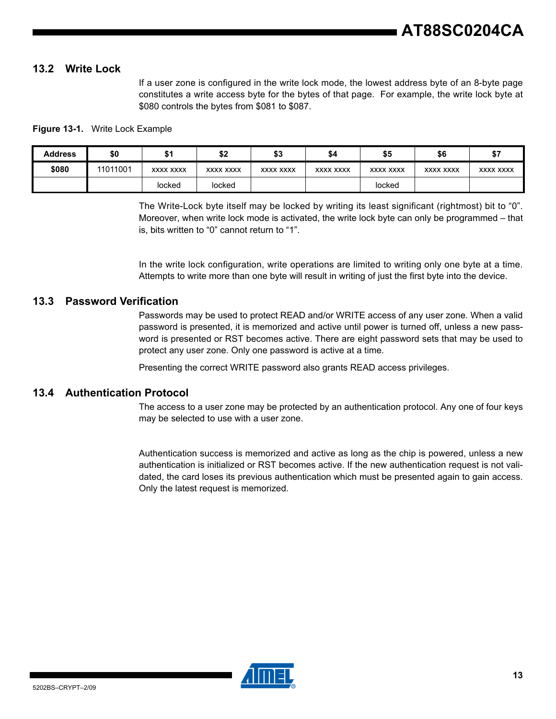#### **13.2 Write Lock**

If a user zone is configured in the write lock mode, the lowest address byte of an 8-byte page constitutes a write access byte for the bytes of that page. For example, the write lock byte at \$080 controls the bytes from \$081 to \$087.

#### **Figure 13-1.** Write Lock Example

| <b>Address</b> | \$0      | ۰.        | c٥<br>⊾ب         | ¢1<br>ΦJ  | \$4       | \$5       | \$6              | \$7       |
|----------------|----------|-----------|------------------|-----------|-----------|-----------|------------------|-----------|
| \$080          | 11011001 | XXXX XXXX | <b>XXXX XXXX</b> | XXXX XXXX | XXXX XXXX | XXXX XXXX | <b>XXXX XXXX</b> | XXXX XXXX |
|                |          | locked    | locked           |           |           | locked    |                  |           |

The Write-Lock byte itself may be locked by writing its least significant (rightmost) bit to "0". Moreover, when write lock mode is activated, the write lock byte can only be programmed – that is, bits written to "0" cannot return to "1".

In the write lock configuration, write operations are limited to writing only one byte at a time. Attempts to write more than one byte will result in writing of just the first byte into the device.

#### **13.3 Password Verification**

Passwords may be used to protect READ and/or WRITE access of any user zone. When a valid password is presented, it is memorized and active until power is turned off, unless a new password is presented or RST becomes active. There are eight password sets that may be used to protect any user zone. Only one password is active at a time.

Presenting the correct WRITE password also grants READ access privileges.

#### **13.4 Authentication Protocol**

The access to a user zone may be protected by an authentication protocol. Any one of four keys may be selected to use with a user zone.

Authentication success is memorized and active as long as the chip is powered, unless a new authentication is initialized or RST becomes active. If the new authentication request is not validated, the card loses its previous authentication which must be presented again to gain access. Only the latest request is memorized.

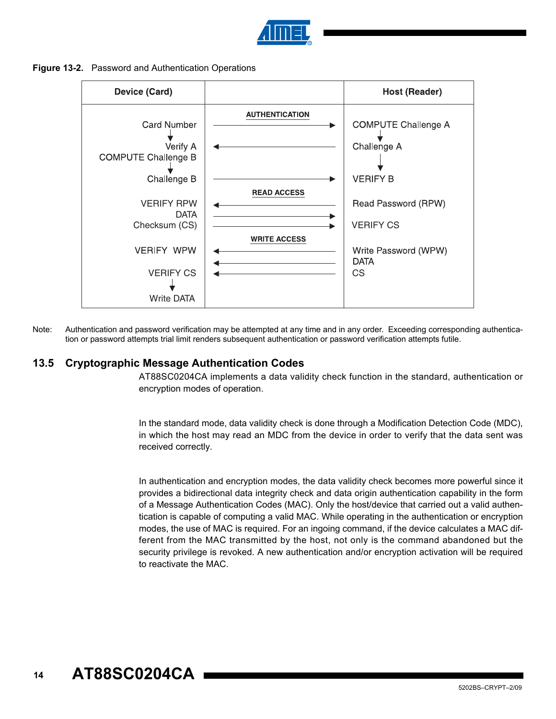

#### **Figure 13-2.** Password and Authentication Operations



Note: Authentication and password verification may be attempted at any time and in any order. Exceeding corresponding authentication or password attempts trial limit renders subsequent authentication or password verification attempts futile.

#### **13.5 Cryptographic Message Authentication Codes**

AT88SC0204CA implements a data validity check function in the standard, authentication or encryption modes of operation.

In the standard mode, data validity check is done through a Modification Detection Code (MDC), in which the host may read an MDC from the device in order to verify that the data sent was received correctly.

In authentication and encryption modes, the data validity check becomes more powerful since it provides a bidirectional data integrity check and data origin authentication capability in the form of a Message Authentication Codes (MAC). Only the host/device that carried out a valid authentication is capable of computing a valid MAC. While operating in the authentication or encryption modes, the use of MAC is required. For an ingoing command, if the device calculates a MAC different from the MAC transmitted by the host, not only is the command abandoned but the security privilege is revoked. A new authentication and/or encryption activation will be required to reactivate the MAC.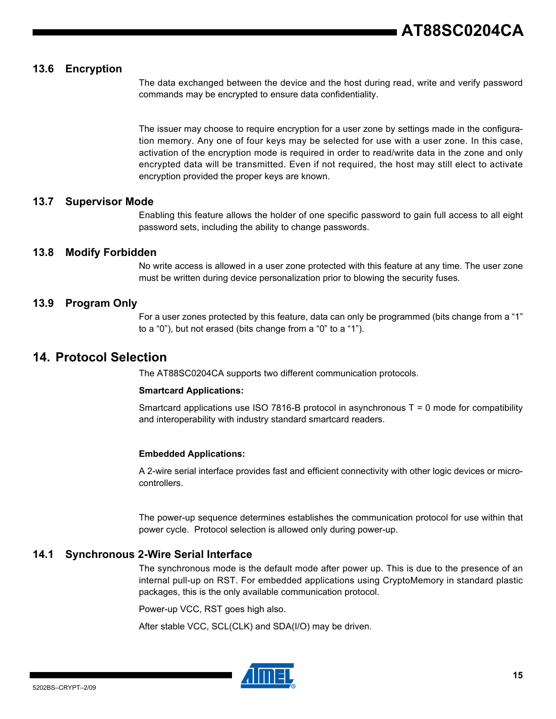### **13.6 Encryption**

The data exchanged between the device and the host during read, write and verify password commands may be encrypted to ensure data confidentiality.

The issuer may choose to require encryption for a user zone by settings made in the configuration memory. Any one of four keys may be selected for use with a user zone. In this case, activation of the encryption mode is required in order to read/write data in the zone and only encrypted data will be transmitted. Even if not required, the host may still elect to activate encryption provided the proper keys are known.

#### **13.7 Supervisor Mode**

Enabling this feature allows the holder of one specific password to gain full access to all eight password sets, including the ability to change passwords.

#### **13.8 Modify Forbidden**

No write access is allowed in a user zone protected with this feature at any time. The user zone must be written during device personalization prior to blowing the security fuses.

#### **13.9 Program Only**

For a user zones protected by this feature, data can only be programmed (bits change from a "1" to a "0"), but not erased (bits change from a "0" to a "1").

# **14. Protocol Selection**

The AT88SC0204CA supports two different communication protocols.

#### **Smartcard Applications:**

Smartcard applications use ISO 7816-B protocol in asynchronous  $T = 0$  mode for compatibility and interoperability with industry standard smartcard readers.

#### **Embedded Applications:**

A 2-wire serial interface provides fast and efficient connectivity with other logic devices or microcontrollers.

The power-up sequence determines establishes the communication protocol for use within that power cycle. Protocol selection is allowed only during power-up.

#### **14.1 Synchronous 2-Wire Serial Interface**

The synchronous mode is the default mode after power up. This is due to the presence of an internal pull-up on RST. For embedded applications using CryptoMemory in standard plastic packages, this is the only available communication protocol.

Power-up VCC, RST goes high also.

After stable VCC, SCL(CLK) and SDA(I/O) may be driven.

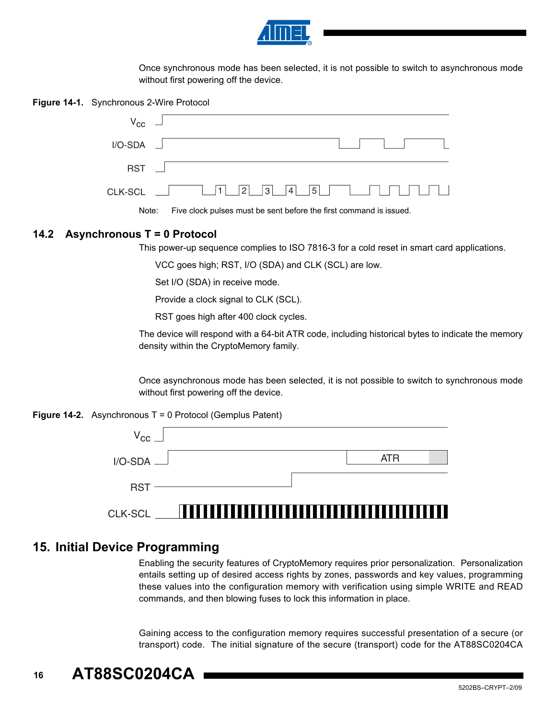

Once synchronous mode has been selected, it is not possible to switch to asynchronous mode without first powering off the device.

**Figure 14-1.** Synchronous 2-Wire Protocol



Note: Five clock pulses must be sent before the first command is issued.

#### **14.2 Asynchronous T = 0 Protocol**

This power-up sequence complies to ISO 7816-3 for a cold reset in smart card applications.

VCC goes high; RST, I/O (SDA) and CLK (SCL) are low.

Set I/O (SDA) in receive mode.

Provide a clock signal to CLK (SCL).

RST goes high after 400 clock cycles.

The device will respond with a 64-bit ATR code, including historical bytes to indicate the memory density within the CryptoMemory family.

Once asynchronous mode has been selected, it is not possible to switch to synchronous mode without first powering off the device.

#### **Figure 14-2.** Asynchronous T = 0 Protocol (Gemplus Patent)



# **15. Initial Device Programming**

Enabling the security features of CryptoMemory requires prior personalization. Personalization entails setting up of desired access rights by zones, passwords and key values, programming these values into the configuration memory with verification using simple WRITE and READ commands, and then blowing fuses to lock this information in place.

Gaining access to the configuration memory requires successful presentation of a secure (or transport) code. The initial signature of the secure (transport) code for the AT88SC0204CA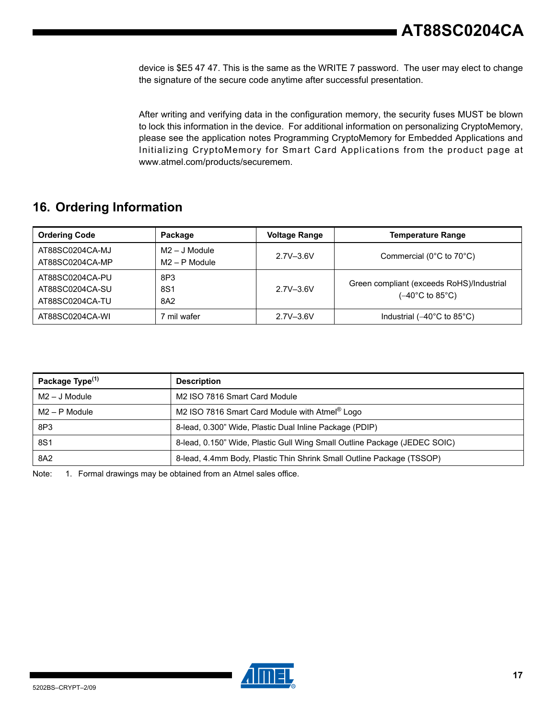device is \$E5 47 47. This is the same as the WRITE 7 password. The user may elect to change the signature of the secure code anytime after successful presentation.

After writing and verifying data in the configuration memory, the security fuses MUST be blown to lock this information in the device. For additional information on personalizing CryptoMemory, please see the application notes Programming CryptoMemory for Embedded Applications and Initializing CryptoMemory for Smart Card Applications from the product page at www.atmel.com/products/securemem.

# **16. Ordering Information**

| <b>Ordering Code</b>                                  | Package                            | <b>Voltage Range</b> | <b>Temperature Range</b>                                                           |
|-------------------------------------------------------|------------------------------------|----------------------|------------------------------------------------------------------------------------|
| AT88SC0204CA-MJ<br>AT88SC0204CA-MP                    | $M2 - J$ Module<br>$M2 - P$ Module | $2.7V - 3.6V$        | Commercial ( $0^{\circ}$ C to $70^{\circ}$ C)                                      |
| AT88SC0204CA-PU<br>AT88SC0204CA-SU<br>AT88SC0204CA-TU | 8P3<br>8S1<br>8A2                  | $2.7V - 3.6V$        | Green compliant (exceeds RoHS)/Industrial<br>( $-40^{\circ}$ C to 85 $^{\circ}$ C) |
| AT88SC0204CA-WI                                       | mil wafer                          | $2.7V - 3.6V$        | Industrial $(-40^{\circ}$ C to 85 $^{\circ}$ C)                                    |

| Package Type <sup>(1)</sup> | <b>Description</b>                                                        |
|-----------------------------|---------------------------------------------------------------------------|
| M2 – J Module               | M2 ISO 7816 Smart Card Module                                             |
| M2 – P Module               | M2 ISO 7816 Smart Card Module with Atmel <sup>®</sup> Logo                |
| 8P3                         | 8-lead, 0.300" Wide, Plastic Dual Inline Package (PDIP)                   |
| 8S1                         | 8-lead, 0.150" Wide, Plastic Gull Wing Small Outline Package (JEDEC SOIC) |
| 8A2                         | 8-lead, 4.4mm Body, Plastic Thin Shrink Small Outline Package (TSSOP)     |

Note: 1. Formal drawings may be obtained from an Atmel sales office.

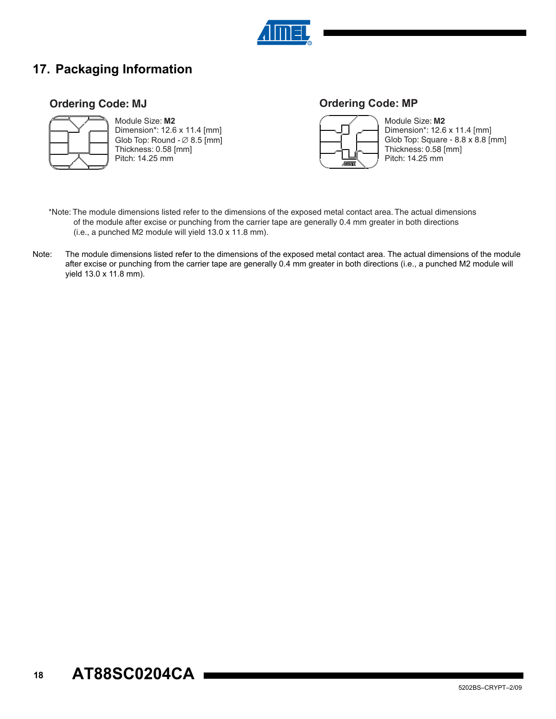

# **17. Packaging Information**

## **Ordering Code: MJ**



Module Size: **M2** Dimension\*: 12.6 x 11.4 [mm] Glob Top: Round  $\varnothing$  8.5 [mm] Thickness: 0.58 [mm] Pitch: 14.25 mm

# **Ordering Code: MP**



Module Size: **M2** Dimension\*: 12.6 x 11.4 [mm] Glob Top: Square - 8.8 x 8.8 [mm] Thickness: 0.58 [mm] Pitch: 14.25 mm

- \*Note: The module dimensions listed refer to the dimensions of the exposed metal contact area. The actual dimensions of the module after excise or punching from the carrier tape are generally 0.4 mm greater in both directions (i.e., a punched M2 module will yield 13.0 x 11.8 mm).
- Note: The module dimensions listed refer to the dimensions of the exposed metal contact area. The actual dimensions of the module after excise or punching from the carrier tape are generally 0.4 mm greater in both directions (i.e., a punched M2 module will yield 13.0 x 11.8 mm).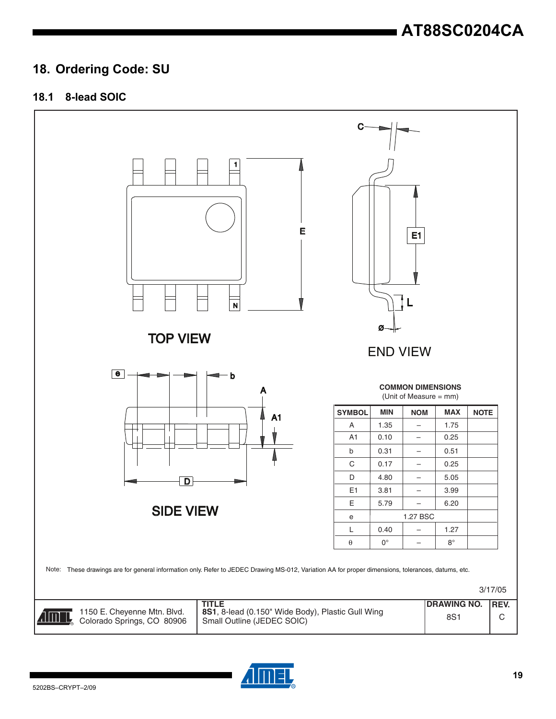# **18. Ordering Code: SU**

### **18.1 8-lead SOIC**



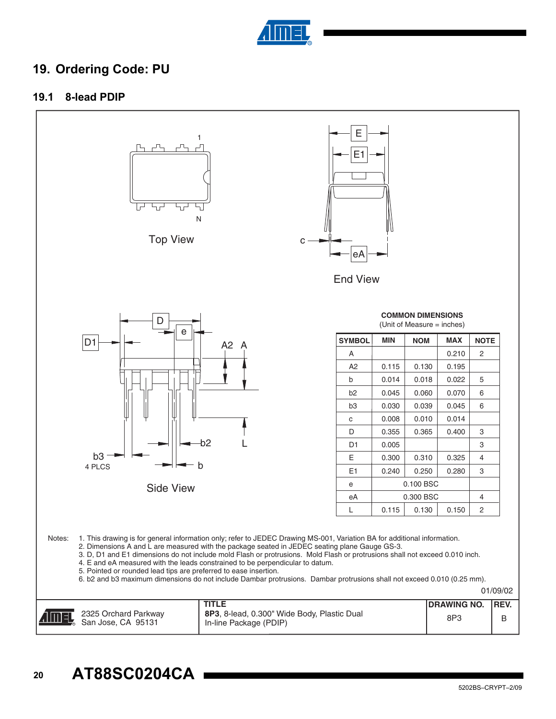

# **19. Ordering Code: PU**

#### **19.1 8-lead PDIP**

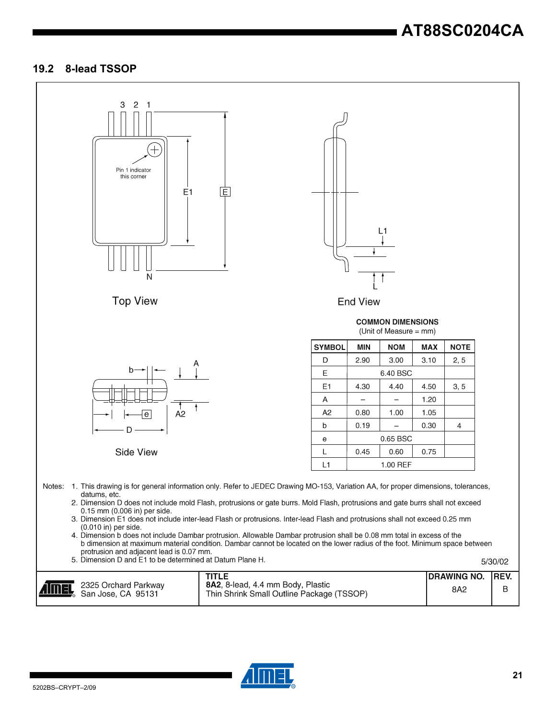# **AT88SC0204CA**

#### **19.2 8-lead TSSOP**



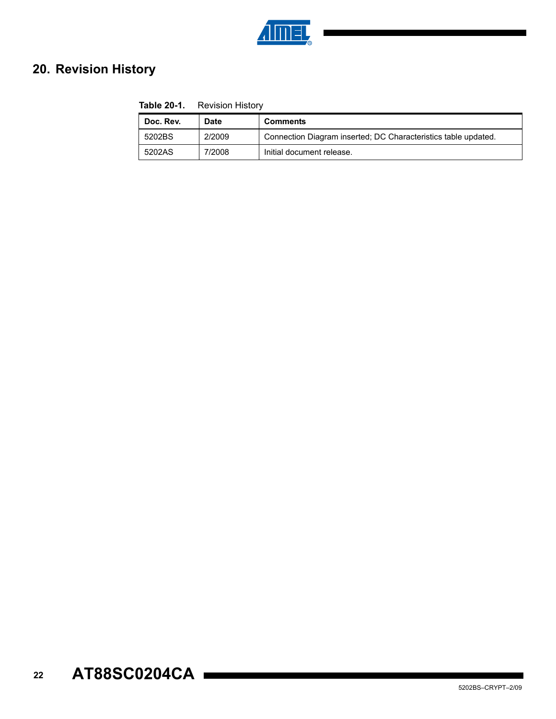

# **20. Revision History**

| <b>Table 20-1.</b> Revision History |             |                                                                |  |  |  |
|-------------------------------------|-------------|----------------------------------------------------------------|--|--|--|
| Doc. Rev.                           | <b>Date</b> | <b>Comments</b>                                                |  |  |  |
| 5202BS                              | 2/2009      | Connection Diagram inserted; DC Characteristics table updated. |  |  |  |
| 5202AS                              | 7/2008      | Initial document release.                                      |  |  |  |

#### **22 AT88SC0204CA**